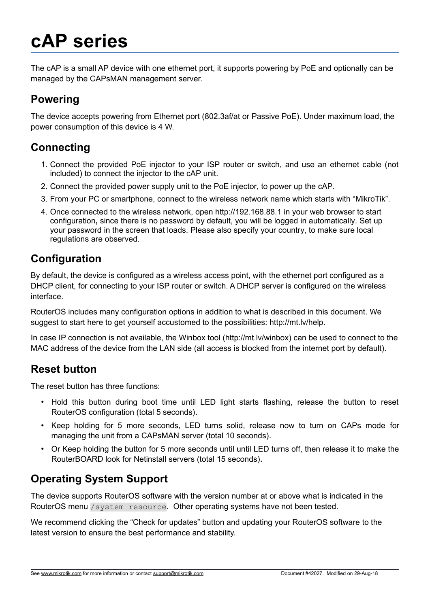# **cAP series**

The cAP is a small AP device with one ethernet port, it supports powering by PoE and optionally can be managed by the CAPsMAN management server.

### **Powering**

The device accepts powering from Ethernet port (802.3af/at or Passive PoE). Under maximum load, the power consumption of this device is 4 W.

# **Connecting**

- 1. Connect the provided PoE injector to your ISP router or switch, and use an ethernet cable (not included) to connect the injector to the cAP unit.
- 2. Connect the provided power supply unit to the PoE injector, to power up the cAP.
- 3. From your PC or smartphone, connect to the wireless network name which starts with "MikroTik".
- 4. Once connected to the wireless network, open http://192.168.88.1 in your web browser to start configuration**,** since there is no password by default, you will be logged in automatically. Set up your password in the screen that loads. Please also specify your country, to make sure local regulations are observed.

### **Configuration**

By default, the device is configured as a wireless access point, with the ethernet port configured as a DHCP client, for connecting to your ISP router or switch. A DHCP server is configured on the wireless interface.

RouterOS includes many configuration options in addition to what is described in this document. We suggest to start here to get yourself accustomed to the possibilities: http://mt.lv/help.

In case IP connection is not available, the Winbox tool (http://mt.lv/winbox) can be used to connect to the MAC address of the device from the LAN side (all access is blocked from the internet port by default).

#### **Reset button**

The reset button has three functions:

- Hold this button during boot time until LED light starts flashing, release the button to reset RouterOS configuration (total 5 seconds).
- Keep holding for 5 more seconds, LED turns solid, release now to turn on CAPs mode for managing the unit from a CAPsMAN server (total 10 seconds).
- Or Keep holding the button for 5 more seconds until until LED turns off, then release it to make the RouterBOARD look for Netinstall servers (total 15 seconds).

# **Operating System Support**

The device supports RouterOS software with the version number at or above what is indicated in the RouterOS menu /system resource. Other operating systems have not been tested.

We recommend clicking the "Check for updates" button and updating your RouterOS software to the latest version to ensure the best performance and stability.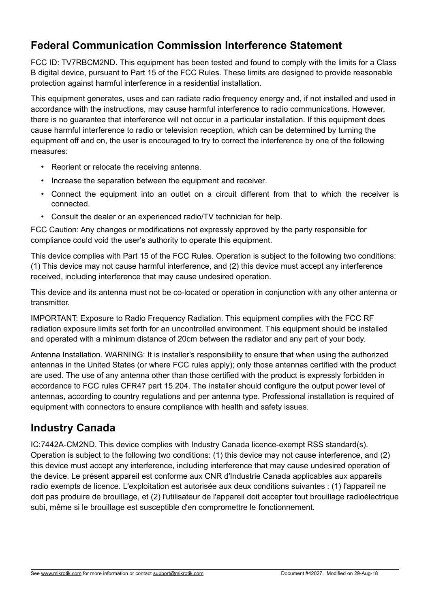#### **Federal Communication Commission Interference Statement**

FCC ID: TV7RBCM2ND**.** This equipment has been tested and found to comply with the limits for a Class B digital device, pursuant to Part 15 of the FCC Rules. These limits are designed to provide reasonable protection against harmful interference in a residential installation.

This equipment generates, uses and can radiate radio frequency energy and, if not installed and used in accordance with the instructions, may cause harmful interference to radio communications. However, there is no guarantee that interference will not occur in a particular installation. If this equipment does cause harmful interference to radio or television reception, which can be determined by turning the equipment off and on, the user is encouraged to try to correct the interference by one of the following measures:

- Reorient or relocate the receiving antenna.
- Increase the separation between the equipment and receiver.
- Connect the equipment into an outlet on a circuit different from that to which the receiver is connected.
- Consult the dealer or an experienced radio/TV technician for help.

FCC Caution: Any changes or modifications not expressly approved by the party responsible for compliance could void the user's authority to operate this equipment.

This device complies with Part 15 of the FCC Rules. Operation is subject to the following two conditions: (1) This device may not cause harmful interference, and (2) this device must accept any interference received, including interference that may cause undesired operation.

This device and its antenna must not be co-located or operation in conjunction with any other antenna or transmitter.

IMPORTANT: Exposure to Radio Frequency Radiation. This equipment complies with the FCC RF radiation exposure limits set forth for an uncontrolled environment. This equipment should be installed and operated with a minimum distance of 20cm between the radiator and any part of your body.

Antenna Installation. WARNING: It is installer's responsibility to ensure that when using the authorized antennas in the United States (or where FCC rules apply); only those antennas certified with the product are used. The use of any antenna other than those certified with the product is expressly forbidden in accordance to FCC rules CFR47 part 15.204. The installer should configure the output power level of antennas, according to country regulations and per antenna type. Professional installation is required of equipment with connectors to ensure compliance with health and safety issues.

#### **Industry Canada**

IC:7442A-CM2ND. This device complies with Industry Canada licence-exempt RSS standard(s). Operation is subject to the following two conditions: (1) this device may not cause interference, and (2) this device must accept any interference, including interference that may cause undesired operation of the device. Le présent appareil est conforme aux CNR d'Industrie Canada applicables aux appareils radio exempts de licence. L'exploitation est autorisée aux deux conditions suivantes : (1) l'appareil ne doit pas produire de brouillage, et (2) l'utilisateur de l'appareil doit accepter tout brouillage radioélectrique subi, même si le brouillage est susceptible d'en compromettre le fonctionnement.